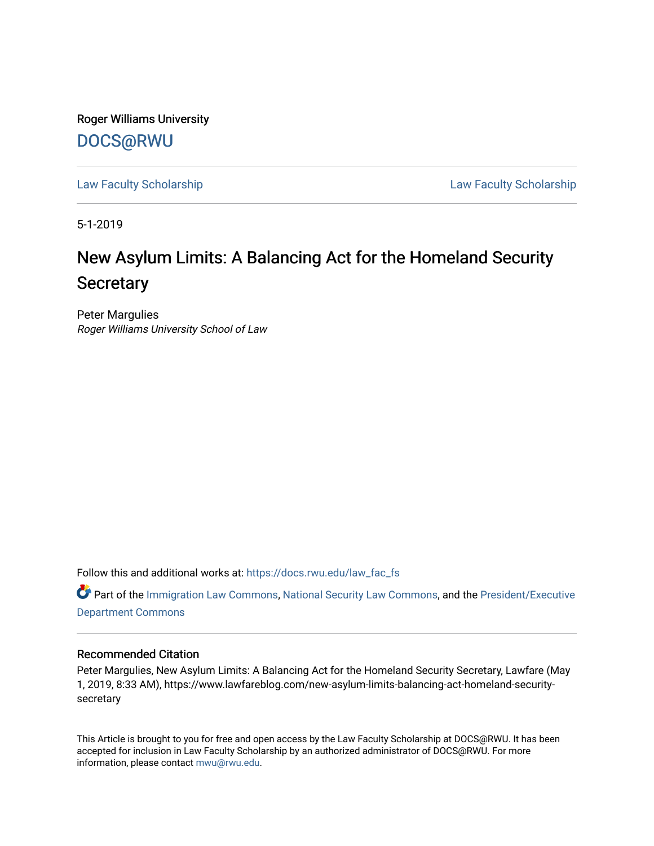Roger Williams University [DOCS@RWU](https://docs.rwu.edu/)

[Law Faculty Scholarship](https://docs.rwu.edu/law_fac_fs) [Law Faculty Scholarship](https://docs.rwu.edu/law_fac) 

5-1-2019

# New Asylum Limits: A Balancing Act for the Homeland Security **Secretary**

Peter Margulies Roger Williams University School of Law

Follow this and additional works at: [https://docs.rwu.edu/law\\_fac\\_fs](https://docs.rwu.edu/law_fac_fs?utm_source=docs.rwu.edu%2Flaw_fac_fs%2F292&utm_medium=PDF&utm_campaign=PDFCoverPages) 

Part of the [Immigration Law Commons](http://network.bepress.com/hgg/discipline/604?utm_source=docs.rwu.edu%2Flaw_fac_fs%2F292&utm_medium=PDF&utm_campaign=PDFCoverPages), [National Security Law Commons,](http://network.bepress.com/hgg/discipline/1114?utm_source=docs.rwu.edu%2Flaw_fac_fs%2F292&utm_medium=PDF&utm_campaign=PDFCoverPages) and the [President/Executive](http://network.bepress.com/hgg/discipline/1118?utm_source=docs.rwu.edu%2Flaw_fac_fs%2F292&utm_medium=PDF&utm_campaign=PDFCoverPages)  [Department Commons](http://network.bepress.com/hgg/discipline/1118?utm_source=docs.rwu.edu%2Flaw_fac_fs%2F292&utm_medium=PDF&utm_campaign=PDFCoverPages)

### Recommended Citation

Peter Margulies, New Asylum Limits: A Balancing Act for the Homeland Security Secretary, Lawfare (May 1, 2019, 8:33 AM), https://www.lawfareblog.com/new-asylum-limits-balancing-act-homeland-securitysecretary

This Article is brought to you for free and open access by the Law Faculty Scholarship at DOCS@RWU. It has been accepted for inclusion in Law Faculty Scholarship by an authorized administrator of DOCS@RWU. For more information, please contact [mwu@rwu.edu](mailto:mwu@rwu.edu).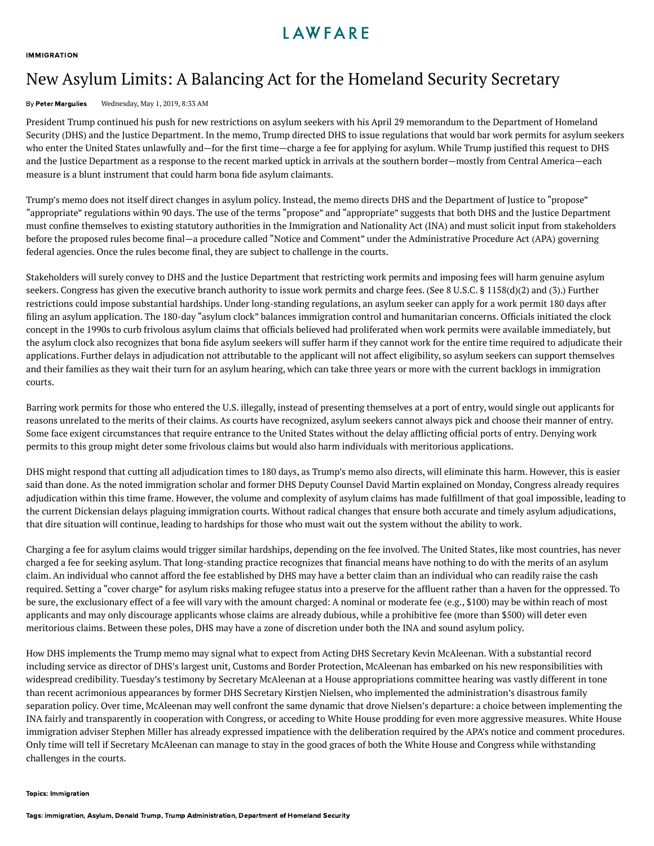### LAWFARE

#### **[IMMIGRATION](https://www.lawfareblog.com/topic/immigration)**

## New Asylum Limits: A Balancing Act for the Homeland Security Secretary

#### By Peter [Margulies](https://www.lawfareblog.com/contributors/pmargulies) Wednesday, May 1, 2019, 8:33 AM

President Trump continued his push for new restrictions on asylum seekers with his April 29 [memorandum](https://www.whitehouse.gov/presidential-actions/presidential-memorandum-additional-measures-enhance-border-security-restore-integrity-immigration-system/) to the Department of Homeland Security (DHS) and the Justice Department. In the memo, Trump directed DHS to issue regulations that would bar work permits for asylum seekers who enter the United States unlawfully and—for the first time—charge a fee for applying for asylum. While Trump justified this request to DHS and the Justice Department as a response to the recent marked uptick in arrivals at the southern border—mostly from Central America—each measure is a blunt instrument that could harm bona fide asylum claimants.

Trump's memo does not itself direct changes in asylum policy. Instead, the memo directs DHS and the Department of Justice to "propose" "appropriate" regulations within 90 days. The use of the terms "propose" and "appropriate" suggests that both DHS and the Justice Department must confine themselves to existing statutory authorities in the Immigration and Nationality Act (INA) and must solicit input from stakeholders before the proposed rules become final—a procedure called "Notice and Comment" under the Administrative Procedure Act (APA) governing federal agencies. Once the rules become final, they are subject to challenge in the courts.

Stakeholders will surely convey to DHS and the Justice Department that restricting work permits and imposing fees will harm genuine asylum seekers. Congress has given the executive branch authority to issue work permits and charge fees. (See 8 [U.S.C.](https://www.law.cornell.edu/uscode/text/8/1158) § 1158(d)(2) and (3).) Further restrictions could impose substantial hardships. Under long-standing [regulations,](https://www.uscis.gov/sites/default/files/USCIS/Humanitarian/Refugees%20%26%20Asylum/Asylum/Asylum_Clock_Joint_Notice_-_revised_05-10-2017.pdf) an asylum seeker can apply for a work permit 180 days after filing an asylum application. The 180-day "asylum clock" balances immigration control and humanitarian concerns. Officials initiated the clock concept in the 1990s to curb frivolous asylum claims that officials believed had proliferated when work permits were available immediately, but the asylum clock also recognizes that bona fide asylum seekers will suffer harm if they cannot work for the entire time required to adjudicate their applications. Further delays in adjudication not attributable to the applicant will not affect eligibility, so asylum seekers can support themselves and their families as they wait their turn for an asylum hearing, which can take three years or more with the current backlogs in immigration courts.

Barring work permits for those who entered the U.S. illegally, instead of presenting themselves at a port of entry, would single out applicants for reasons unrelated to the merits of their claims. As courts have [recognized,](https://www.lawfareblog.com/ninth-circuits-asylum-ban-ruling-message-trump) asylum seekers cannot always pick and choose their manner of entry. Some face exigent circumstances that require entrance to the United States without the delay afflicting official ports of entry. Denying work permits to this group might deter some frivolous claims but would also harm individuals with meritorious applications.

DHS might respond that cutting all adjudication times to 180 days, as Trump's memo also directs, will eliminate this harm. However, this is easier said than done. As the noted immigration scholar and former DHS Deputy Counsel David Martin [explained](https://www.washingtonpost.com/politics/trump-issues-memo-calling-for-changes-to-handling-of-asylum-cases/2019/04/29/df41b5f2-6adb-11e9-be3a-33217240a539_story.html?utm_term=.9c79936a61f5) on Monday, Congress already requires adjudication within this time frame. However, the volume and complexity of asylum claims has made fulfillment of that goal impossible, leading to the current Dickensian delays plaguing immigration courts. Without radical changes that ensure both accurate and timely asylum adjudications, that dire situation will continue, leading to hardships for those who must wait out the system without the ability to work.

Charging a fee for asylum claims would trigger similar hardships, depending on the fee involved. The United States, like most countries, has never charged a fee for seeking asylum. That long-standing practice recognizes that financial means have nothing to do with the merits of an asylum claim. An individual who cannot afford the fee established by DHS may have a better claim than an individual who can readily raise the cash required. Setting a "cover charge" for asylum risks making refugee status into a preserve for the affluent rather than a haven for the oppressed. To be sure, the exclusionary effect of a fee will vary with the amount charged: A nominal or moderate fee (e.g., \$100) may be within reach of most applicants and may only discourage applicants whose claims are already dubious, while a prohibitive fee (more than \$500) will deter even meritorious claims. Between these poles, DHS may have a zone of discretion under both the INA and sound asylum policy.

How DHS implements the Trump memo may signal what to expect from Acting DHS Secretary Kevin McAleenan. With a substantial record including service as director of DHS's largest unit, Customs and Border Protection, McAleenan has embarked on his new responsibilities with widespread credibility. Tuesday's testimony by Secretary McAleenan at a House appropriations committee hearing was vastly different in tone than recent acrimonious appearances by former DHS Secretary Kirstjen Nielsen, who implemented the administration's disastrous family separation policy. Over time, McAleenan may well confront the same dynamic that drove Nielsen's departure: a choice between implementing the INA fairly and transparently in cooperation with Congress, or acceding to White House prodding for even more aggressive measures. White House immigration adviser Stephen Miller has already expressed [impatience](https://www.politico.com/story/2019/04/08/trump-immigration-agency-head-1332660) with the deliberation required by the APA's notice and comment procedures. Only time will tell if Secretary McAleenan can manage to stay in the good graces of both the White House and Congress while withstanding challenges in the courts.

#### Topics: [Immigration](https://www.lawfareblog.com/topic/immigration)